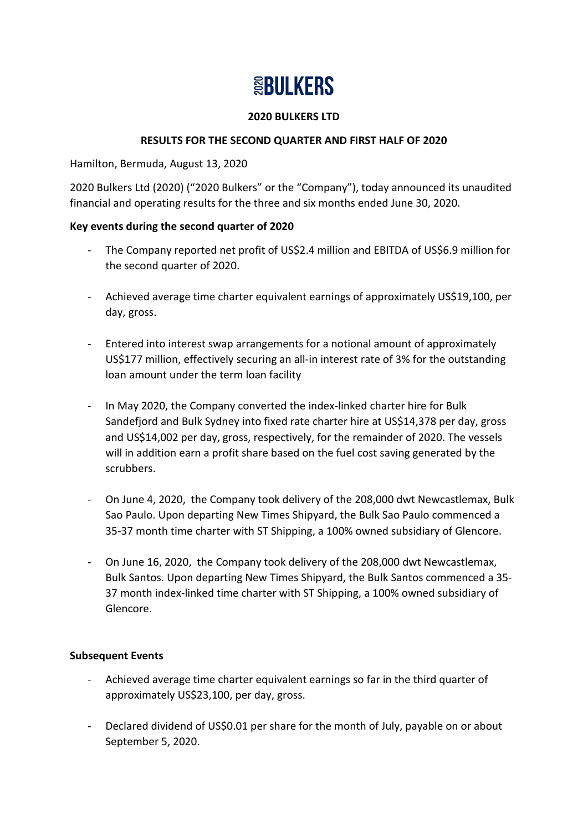# **SEBULKERS**

#### **2020 BULKERS LTD**

#### **RESULTS FOR THE SECOND QUARTER AND FIRST HALF OF 2020**

Hamilton, Bermuda, August 13, 2020

2020 Bulkers Ltd (2020) ("2020 Bulkers" or the "Company"), today announced its unaudited financial and operating results for the three and six months ended June 30, 2020.

#### **Key events during the second quarter of 2020**

- The Company reported net profit of US\$2.4 million and EBITDA of US\$6.9 million for the second quarter of 2020.
- Achieved average time charter equivalent earnings of approximately US\$19,100, per day, gross.
- Entered into interest swap arrangements for a notional amount of approximately US\$177 million, effectively securing an all-in interest rate of 3% for the outstanding loan amount under the term loan facility
- In May 2020, the Company converted the index-linked charter hire for Bulk Sandefjord and Bulk Sydney into fixed rate charter hire at US\$14,378 per day, gross and US\$14,002 per day, gross, respectively, for the remainder of 2020. The vessels will in addition earn a profit share based on the fuel cost saving generated by the scrubbers.
- On June 4, 2020, the Company took delivery of the 208,000 dwt Newcastlemax, Bulk Sao Paulo. Upon departing New Times Shipyard, the Bulk Sao Paulo commenced a 35-37 month time charter with ST Shipping, a 100% owned subsidiary of Glencore.
- On June 16, 2020, the Company took delivery of the 208,000 dwt Newcastlemax, Bulk Santos. Upon departing New Times Shipyard, the Bulk Santos commenced a 35- 37 month index-linked time charter with ST Shipping, a 100% owned subsidiary of Glencore.

# **Subsequent Events**

- Achieved average time charter equivalent earnings so far in the third quarter of approximately US\$23,100, per day, gross.
- Declared dividend of US\$0.01 per share for the month of July, payable on or about September 5, 2020.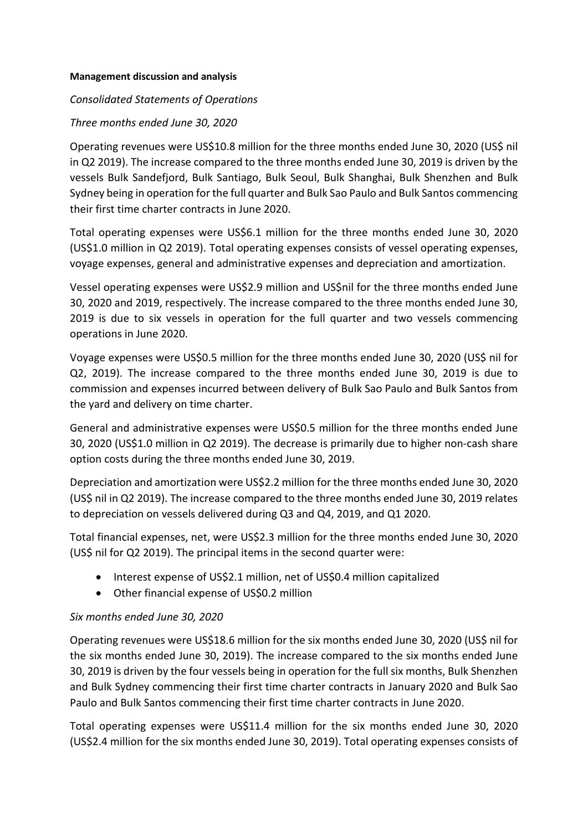#### **Management discussion and analysis**

#### *Consolidated Statements of Operations*

#### *Three months ended June 30, 2020*

Operating revenues were US\$10.8 million for the three months ended June 30, 2020 (US\$ nil in Q2 2019). The increase compared to the three months ended June 30, 2019 is driven by the vessels Bulk Sandefjord, Bulk Santiago, Bulk Seoul, Bulk Shanghai, Bulk Shenzhen and Bulk Sydney being in operation for the full quarter and Bulk Sao Paulo and Bulk Santos commencing their first time charter contracts in June 2020.

Total operating expenses were US\$6.1 million for the three months ended June 30, 2020 (US\$1.0 million in Q2 2019). Total operating expenses consists of vessel operating expenses, voyage expenses, general and administrative expenses and depreciation and amortization.

Vessel operating expenses were US\$2.9 million and US\$nil for the three months ended June 30, 2020 and 2019, respectively. The increase compared to the three months ended June 30, 2019 is due to six vessels in operation for the full quarter and two vessels commencing operations in June 2020.

Voyage expenses were US\$0.5 million for the three months ended June 30, 2020 (US\$ nil for Q2, 2019). The increase compared to the three months ended June 30, 2019 is due to commission and expenses incurred between delivery of Bulk Sao Paulo and Bulk Santos from the yard and delivery on time charter.

General and administrative expenses were US\$0.5 million for the three months ended June 30, 2020 (US\$1.0 million in Q2 2019). The decrease is primarily due to higher non-cash share option costs during the three months ended June 30, 2019.

Depreciation and amortization were US\$2.2 million for the three months ended June 30, 2020 (US\$ nil in Q2 2019). The increase compared to the three months ended June 30, 2019 relates to depreciation on vessels delivered during Q3 and Q4, 2019, and Q1 2020.

Total financial expenses, net, were US\$2.3 million for the three months ended June 30, 2020 (US\$ nil for Q2 2019). The principal items in the second quarter were:

- Interest expense of US\$2.1 million, net of US\$0.4 million capitalized
- Other financial expense of US\$0.2 million

# *Six months ended June 30, 2020*

Operating revenues were US\$18.6 million for the six months ended June 30, 2020 (US\$ nil for the six months ended June 30, 2019). The increase compared to the six months ended June 30, 2019 is driven by the four vessels being in operation for the full six months, Bulk Shenzhen and Bulk Sydney commencing their first time charter contracts in January 2020 and Bulk Sao Paulo and Bulk Santos commencing their first time charter contracts in June 2020.

Total operating expenses were US\$11.4 million for the six months ended June 30, 2020 (US\$2.4 million for the six months ended June 30, 2019). Total operating expenses consists of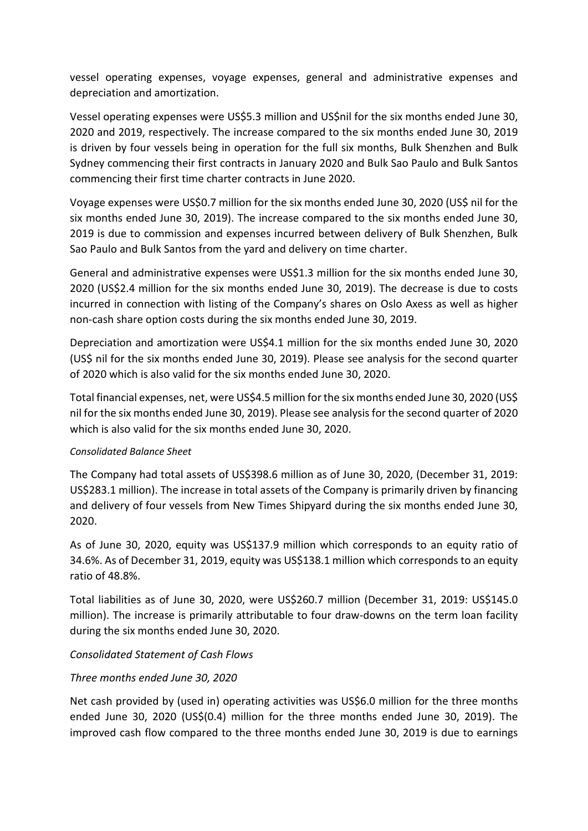vessel operating expenses, voyage expenses, general and administrative expenses and depreciation and amortization.

Vessel operating expenses were US\$5.3 million and US\$nil for the six months ended June 30, 2020 and 2019, respectively. The increase compared to the six months ended June 30, 2019 is driven by four vessels being in operation for the full six months, Bulk Shenzhen and Bulk Sydney commencing their first contracts in January 2020 and Bulk Sao Paulo and Bulk Santos commencing their first time charter contracts in June 2020.

Voyage expenses were US\$0.7 million for the six months ended June 30, 2020 (US\$ nil for the six months ended June 30, 2019). The increase compared to the six months ended June 30, 2019 is due to commission and expenses incurred between delivery of Bulk Shenzhen, Bulk Sao Paulo and Bulk Santos from the yard and delivery on time charter.

General and administrative expenses were US\$1.3 million for the six months ended June 30, 2020 (US\$2.4 million for the six months ended June 30, 2019). The decrease is due to costs incurred in connection with listing of the Company's shares on Oslo Axess as well as higher non-cash share option costs during the six months ended June 30, 2019.

Depreciation and amortization were US\$4.1 million for the six months ended June 30, 2020 (US\$ nil for the six months ended June 30, 2019). Please see analysis for the second quarter of 2020 which is also valid for the six months ended June 30, 2020.

Total financial expenses, net, were US\$4.5 million for the six months ended June 30, 2020 (US\$ nil for the six months ended June 30, 2019). Please see analysis for the second quarter of 2020 which is also valid for the six months ended June 30, 2020.

# *Consolidated Balance Sheet*

The Company had total assets of US\$398.6 million as of June 30, 2020, (December 31, 2019: US\$283.1 million). The increase in total assets of the Company is primarily driven by financing and delivery of four vessels from New Times Shipyard during the six months ended June 30, 2020.

As of June 30, 2020, equity was US\$137.9 million which corresponds to an equity ratio of 34.6%. As of December 31, 2019, equity was US\$138.1 million which corresponds to an equity ratio of 48.8%.

Total liabilities as of June 30, 2020, were US\$260.7 million (December 31, 2019: US\$145.0 million). The increase is primarily attributable to four draw-downs on the term loan facility during the six months ended June 30, 2020.

# *Consolidated Statement of Cash Flows*

# *Three months ended June 30, 2020*

Net cash provided by (used in) operating activities was US\$6.0 million for the three months ended June 30, 2020 (US\$(0.4) million for the three months ended June 30, 2019). The improved cash flow compared to the three months ended June 30, 2019 is due to earnings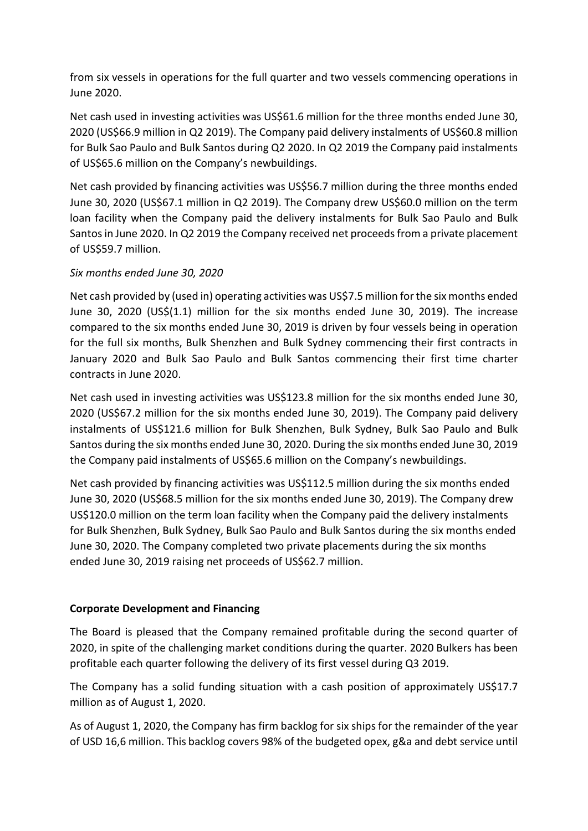from six vessels in operations for the full quarter and two vessels commencing operations in June 2020.

Net cash used in investing activities was US\$61.6 million for the three months ended June 30, 2020 (US\$66.9 million in Q2 2019). The Company paid delivery instalments of US\$60.8 million for Bulk Sao Paulo and Bulk Santos during Q2 2020. In Q2 2019 the Company paid instalments of US\$65.6 million on the Company's newbuildings.

Net cash provided by financing activities was US\$56.7 million during the three months ended June 30, 2020 (US\$67.1 million in Q2 2019). The Company drew US\$60.0 million on the term loan facility when the Company paid the delivery instalments for Bulk Sao Paulo and Bulk Santos in June 2020. In Q2 2019 the Company received net proceeds from a private placement of US\$59.7 million.

# *Six months ended June 30, 2020*

Net cash provided by (used in) operating activities was US\$7.5 million for the six months ended June 30, 2020 (US\$(1.1) million for the six months ended June 30, 2019). The increase compared to the six months ended June 30, 2019 is driven by four vessels being in operation for the full six months, Bulk Shenzhen and Bulk Sydney commencing their first contracts in January 2020 and Bulk Sao Paulo and Bulk Santos commencing their first time charter contracts in June 2020.

Net cash used in investing activities was US\$123.8 million for the six months ended June 30, 2020 (US\$67.2 million for the six months ended June 30, 2019). The Company paid delivery instalments of US\$121.6 million for Bulk Shenzhen, Bulk Sydney, Bulk Sao Paulo and Bulk Santos during the six months ended June 30, 2020. During the six months ended June 30, 2019 the Company paid instalments of US\$65.6 million on the Company's newbuildings.

Net cash provided by financing activities was US\$112.5 million during the six months ended June 30, 2020 (US\$68.5 million for the six months ended June 30, 2019). The Company drew US\$120.0 million on the term loan facility when the Company paid the delivery instalments for Bulk Shenzhen, Bulk Sydney, Bulk Sao Paulo and Bulk Santos during the six months ended June 30, 2020. The Company completed two private placements during the six months ended June 30, 2019 raising net proceeds of US\$62.7 million.

# **Corporate Development and Financing**

The Board is pleased that the Company remained profitable during the second quarter of 2020, in spite of the challenging market conditions during the quarter. 2020 Bulkers has been profitable each quarter following the delivery of its first vessel during Q3 2019.

The Company has a solid funding situation with a cash position of approximately US\$17.7 million as of August 1, 2020.

As of August 1, 2020, the Company has firm backlog for six ships for the remainder of the year of USD 16,6 million. This backlog covers 98% of the budgeted opex, g&a and debt service until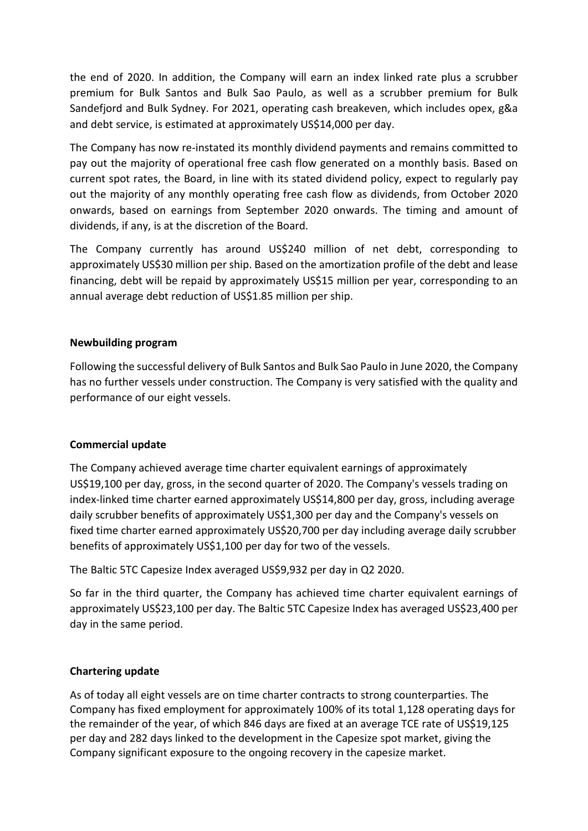the end of 2020. In addition, the Company will earn an index linked rate plus a scrubber premium for Bulk Santos and Bulk Sao Paulo, as well as a scrubber premium for Bulk Sandefjord and Bulk Sydney. For 2021, operating cash breakeven, which includes opex, g&a and debt service, is estimated at approximately US\$14,000 per day.

The Company has now re-instated its monthly dividend payments and remains committed to pay out the majority of operational free cash flow generated on a monthly basis. Based on current spot rates, the Board, in line with its stated dividend policy, expect to regularly pay out the majority of any monthly operating free cash flow as dividends, from October 2020 onwards, based on earnings from September 2020 onwards. The timing and amount of dividends, if any, is at the discretion of the Board.

The Company currently has around US\$240 million of net debt, corresponding to approximately US\$30 million per ship. Based on the amortization profile of the debt and lease financing, debt will be repaid by approximately US\$15 million per year, corresponding to an annual average debt reduction of US\$1.85 million per ship.

#### **Newbuilding program**

Following the successful delivery of Bulk Santos and Bulk Sao Paulo in June 2020, the Company has no further vessels under construction. The Company is very satisfied with the quality and performance of our eight vessels.

# **Commercial update**

The Company achieved average time charter equivalent earnings of approximately US\$19,100 per day, gross, in the second quarter of 2020. The Company's vessels trading on index-linked time charter earned approximately US\$14,800 per day, gross, including average daily scrubber benefits of approximately US\$1,300 per day and the Company's vessels on fixed time charter earned approximately US\$20,700 per day including average daily scrubber benefits of approximately US\$1,100 per day for two of the vessels.

The Baltic 5TC Capesize Index averaged US\$9,932 per day in Q2 2020.

So far in the third quarter, the Company has achieved time charter equivalent earnings of approximately US\$23,100 per day. The Baltic 5TC Capesize Index has averaged US\$23,400 per day in the same period.

#### **Chartering update**

As of today all eight vessels are on time charter contracts to strong counterparties. The Company has fixed employment for approximately 100% of its total 1,128 operating days for the remainder of the year, of which 846 days are fixed at an average TCE rate of US\$19,125 per day and 282 days linked to the development in the Capesize spot market, giving the Company significant exposure to the ongoing recovery in the capesize market.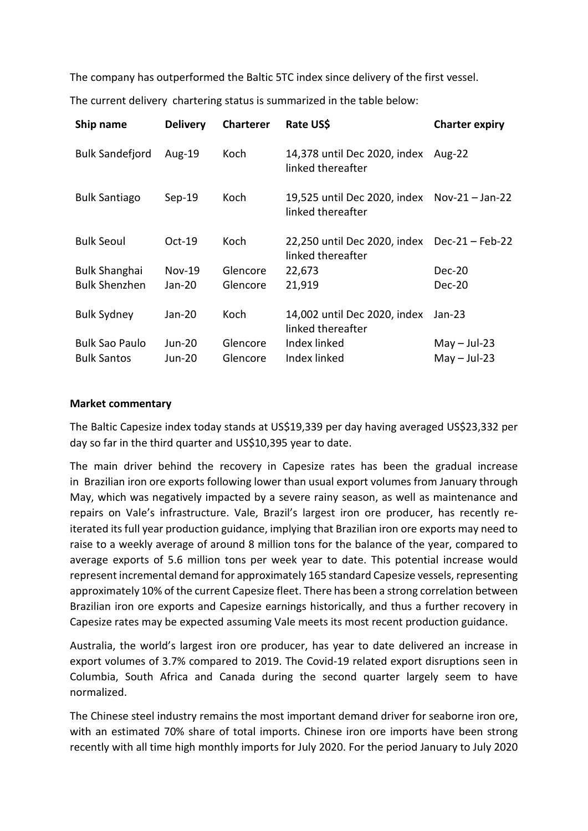The company has outperformed the Baltic 5TC index since delivery of the first vessel.

The current delivery chartering status is summarized in the table below:

| Ship name              | <b>Delivery</b> | <b>Charterer</b> | Rate US\$                                                         | <b>Charter expiry</b> |
|------------------------|-----------------|------------------|-------------------------------------------------------------------|-----------------------|
| <b>Bulk Sandefjord</b> | Aug-19          | Koch             | 14,378 until Dec 2020, index<br>linked thereafter                 | Aug- $22$             |
| <b>Bulk Santiago</b>   | $Sep-19$        | Koch             | 19,525 until Dec 2020, index Nov-21 - Jan-22<br>linked thereafter |                       |
| <b>Bulk Seoul</b>      | $Oct-19$        | Koch             | 22,250 until Dec 2020, index<br>linked thereafter                 | $Dec-21 - Feb-22$     |
| <b>Bulk Shanghai</b>   | $Nov-19$        | Glencore         | 22,673                                                            | Dec-20                |
| <b>Bulk Shenzhen</b>   | Jan-20          | Glencore         | 21,919                                                            | <b>Dec-20</b>         |
| <b>Bulk Sydney</b>     | Jan-20          | Koch             | 14,002 until Dec 2020, index<br>linked thereafter                 | Jan-23                |
| <b>Bulk Sao Paulo</b>  | Jun-20          | Glencore         | Index linked                                                      | $May - Jul-23$        |
| <b>Bulk Santos</b>     | Jun-20          | Glencore         | Index linked                                                      | $May - Jul-23$        |

#### **Market commentary**

The Baltic Capesize index today stands at US\$19,339 per day having averaged US\$23,332 per day so far in the third quarter and US\$10,395 year to date.

The main driver behind the recovery in Capesize rates has been the gradual increase in Brazilian iron ore exports following lower than usual export volumes from January through May, which was negatively impacted by a severe rainy season, as well as maintenance and repairs on Vale's infrastructure. Vale, Brazil's largest iron ore producer, has recently reiterated its full year production guidance, implying that Brazilian iron ore exports may need to raise to a weekly average of around 8 million tons for the balance of the year, compared to average exports of 5.6 million tons per week year to date. This potential increase would represent incremental demand for approximately 165 standard Capesize vessels, representing approximately 10% of the current Capesize fleet. There has been a strong correlation between Brazilian iron ore exports and Capesize earnings historically, and thus a further recovery in Capesize rates may be expected assuming Vale meets its most recent production guidance.

Australia, the world's largest iron ore producer, has year to date delivered an increase in export volumes of 3.7% compared to 2019. The Covid-19 related export disruptions seen in Columbia, South Africa and Canada during the second quarter largely seem to have normalized.

The Chinese steel industry remains the most important demand driver for seaborne iron ore, with an estimated 70% share of total imports. Chinese iron ore imports have been strong recently with all time high monthly imports for July 2020. For the period January to July 2020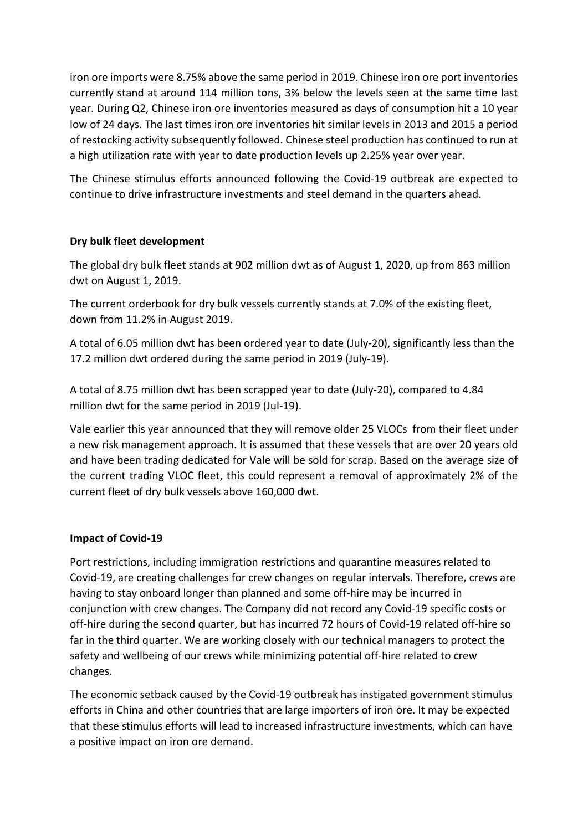iron ore imports were 8.75% above the same period in 2019. Chinese iron ore port inventories currently stand at around 114 million tons, 3% below the levels seen at the same time last year. During Q2, Chinese iron ore inventories measured as days of consumption hit a 10 year low of 24 days. The last times iron ore inventories hit similar levels in 2013 and 2015 a period of restocking activity subsequently followed. Chinese steel production has continued to run at a high utilization rate with year to date production levels up 2.25% year over year.

The Chinese stimulus efforts announced following the Covid-19 outbreak are expected to continue to drive infrastructure investments and steel demand in the quarters ahead.

# **Dry bulk fleet development**

The global dry bulk fleet stands at 902 million dwt as of August 1, 2020, up from 863 million dwt on August 1, 2019.

The current orderbook for dry bulk vessels currently stands at 7.0% of the existing fleet, down from 11.2% in August 2019.

A total of 6.05 million dwt has been ordered year to date (July-20), significantly less than the 17.2 million dwt ordered during the same period in 2019 (July-19).

A total of 8.75 million dwt has been scrapped year to date (July-20), compared to 4.84 million dwt for the same period in 2019 (Jul-19).

Vale earlier this year announced that they will remove older 25 VLOCs from their fleet under a new risk management approach. It is assumed that these vessels that are over 20 years old and have been trading dedicated for Vale will be sold for scrap. Based on the average size of the current trading VLOC fleet, this could represent a removal of approximately 2% of the current fleet of dry bulk vessels above 160,000 dwt.

# **Impact of Covid-19**

Port restrictions, including immigration restrictions and quarantine measures related to Covid-19, are creating challenges for crew changes on regular intervals. Therefore, crews are having to stay onboard longer than planned and some off-hire may be incurred in conjunction with crew changes. The Company did not record any Covid-19 specific costs or off-hire during the second quarter, but has incurred 72 hours of Covid-19 related off-hire so far in the third quarter. We are working closely with our technical managers to protect the safety and wellbeing of our crews while minimizing potential off-hire related to crew changes.

The economic setback caused by the Covid-19 outbreak has instigated government stimulus efforts in China and other countries that are large importers of iron ore. It may be expected that these stimulus efforts will lead to increased infrastructure investments, which can have a positive impact on iron ore demand.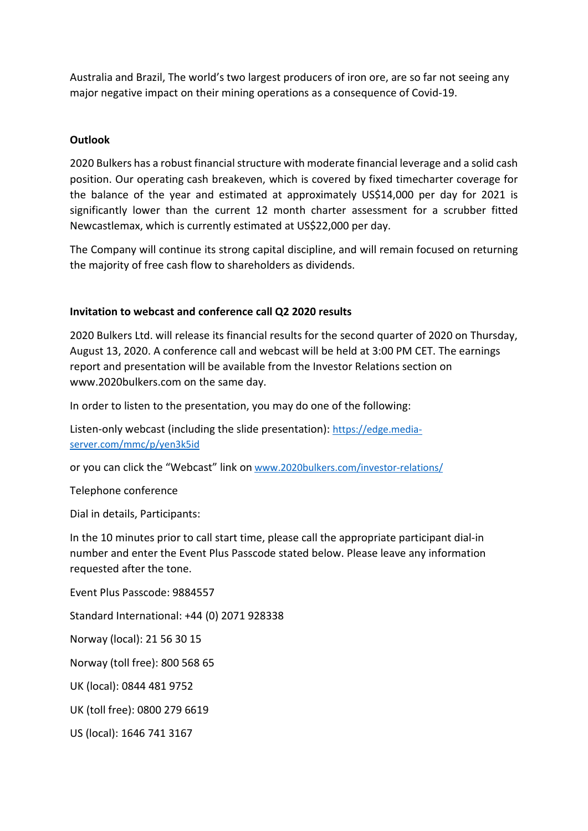Australia and Brazil, The world's two largest producers of iron ore, are so far not seeing any major negative impact on their mining operations as a consequence of Covid-19.

#### **Outlook**

2020 Bulkers has a robust financial structure with moderate financial leverage and a solid cash position. Our operating cash breakeven, which is covered by fixed timecharter coverage for the balance of the year and estimated at approximately US\$14,000 per day for 2021 is significantly lower than the current 12 month charter assessment for a scrubber fitted Newcastlemax, which is currently estimated at US\$22,000 per day.

The Company will continue its strong capital discipline, and will remain focused on returning the majority of free cash flow to shareholders as dividends.

#### **Invitation to webcast and conference call Q2 2020 results**

2020 Bulkers Ltd. will release its financial results for the second quarter of 2020 on Thursday, August 13, 2020. A conference call and webcast will be held at 3:00 PM CET. The earnings report and presentation will be available from the Investor Relations section on www.2020bulkers.com on the same day.

In order to listen to the presentation, you may do one of the following:

Listen-only webcast (including the slide presentation): [https://edge.media](https://edge.media-server.com/mmc/p/yen3k5id)[server.com/mmc/p/yen3k5id](https://edge.media-server.com/mmc/p/yen3k5id)

or you can click the "Webcast" link on [www.2020bulkers.com/investor-relations/](http://www.2020bulkers.com/investor-relations/)

Telephone conference

Dial in details, Participants:

In the 10 minutes prior to call start time, please call the appropriate participant dial-in number and enter the Event Plus Passcode stated below. Please leave any information requested after the tone.

Event Plus Passcode: 9884557 Standard International: +44 (0) 2071 928338 Norway (local): 21 56 30 15 Norway (toll free): 800 568 65 UK (local): 0844 481 9752 UK (toll free): 0800 279 6619 US (local): 1646 741 3167